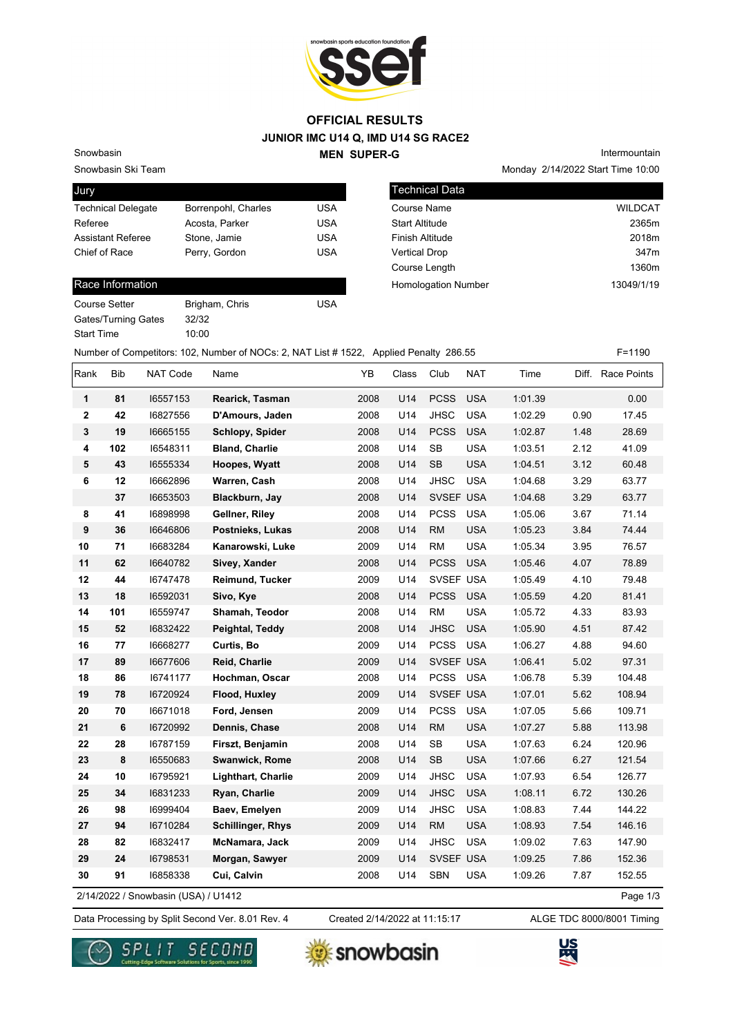

#### **JUNIOR IMC U14 Q, IMD U14 SG RACE2 MEN SUPER-G OFFICIAL RESULTS**

Snowbasin Ski Team Snowbasin

| Jury                      |                     |            |
|---------------------------|---------------------|------------|
| <b>Technical Delegate</b> | Borrenpohl, Charles | USA        |
| Referee                   | Acosta, Parker      | <b>USA</b> |
| <b>Assistant Referee</b>  | Stone, Jamie        | <b>USA</b> |
| Chief of Race             | Perry, Gordon       | USA        |
|                           |                     |            |

#### Race Information

| Course Setter              |  |
|----------------------------|--|
| <b>Gates/Turning Gates</b> |  |
| <b>Start Time</b>          |  |

Brigham, Chris **Chris COUSA** 

32/32  $10:00$  Monday 2/14/2022 Start Time 10:00 Intermountain

| <b>Technical Data</b>                    |  |
|------------------------------------------|--|
| <b>WILDCAT</b><br>Course Name            |  |
| <b>Start Altitude</b><br>2365m           |  |
| <b>Finish Altitude</b><br>2018m          |  |
| <b>Vertical Drop</b><br>347 <sub>m</sub> |  |
| Course Length<br>1360m                   |  |
| 13049/1/19<br><b>Homologation Number</b> |  |

Number of Competitors: 102, Number of NOCs: 2, NAT List # 1522, Applied Penalty 286.55 F=1190

| Rank         | <b>Bib</b> | NAT Code                            | Name                      | YB   | Class | Club        | <b>NAT</b> | Time    |      | Diff. Race Points |
|--------------|------------|-------------------------------------|---------------------------|------|-------|-------------|------------|---------|------|-------------------|
| 1            | 81         | 16557153                            | Rearick, Tasman           | 2008 | U14   | <b>PCSS</b> | <b>USA</b> | 1:01.39 |      | 0.00              |
| $\mathbf{2}$ | 42         | 16827556                            | D'Amours, Jaden           | 2008 | U14   | <b>JHSC</b> | <b>USA</b> | 1:02.29 | 0.90 | 17.45             |
| 3            | 19         | 16665155                            | Schlopy, Spider           | 2008 | U14   | <b>PCSS</b> | <b>USA</b> | 1:02.87 | 1.48 | 28.69             |
| 4            | 102        | 16548311                            | <b>Bland, Charlie</b>     | 2008 | U14   | SB          | <b>USA</b> | 1:03.51 | 2.12 | 41.09             |
| 5            | 43         | 16555334                            | Hoopes, Wyatt             | 2008 | U14   | SB          | <b>USA</b> | 1:04.51 | 3.12 | 60.48             |
| 6            | 12         | 16662896                            | Warren, Cash              | 2008 | U14   | <b>JHSC</b> | <b>USA</b> | 1:04.68 | 3.29 | 63.77             |
|              | 37         | 16653503                            | Blackburn, Jay            | 2008 | U14   | SVSEF USA   |            | 1:04.68 | 3.29 | 63.77             |
| 8            | 41         | 16898998                            | Gellner, Riley            | 2008 | U14   | <b>PCSS</b> | <b>USA</b> | 1:05.06 | 3.67 | 71.14             |
| 9            | 36         | 16646806                            | Postnieks, Lukas          | 2008 | U14   | RM          | <b>USA</b> | 1:05.23 | 3.84 | 74.44             |
| 10           | 71         | 16683284                            | Kanarowski, Luke          | 2009 | U14   | <b>RM</b>   | <b>USA</b> | 1:05.34 | 3.95 | 76.57             |
| 11           | 62         | 16640782                            | Sivey, Xander             | 2008 | U14   | <b>PCSS</b> | <b>USA</b> | 1:05.46 | 4.07 | 78.89             |
| 12           | 44         | 16747478                            | Reimund, Tucker           | 2009 | U14   | SVSEF USA   |            | 1:05.49 | 4.10 | 79.48             |
| 13           | 18         | 16592031                            | Sivo, Kye                 | 2008 | U14   | <b>PCSS</b> | <b>USA</b> | 1:05.59 | 4.20 | 81.41             |
| 14           | 101        | 16559747                            | Shamah, Teodor            | 2008 | U14   | <b>RM</b>   | <b>USA</b> | 1:05.72 | 4.33 | 83.93             |
| 15           | 52         | 16832422                            | Peightal, Teddy           | 2008 | U14   | <b>JHSC</b> | <b>USA</b> | 1:05.90 | 4.51 | 87.42             |
| 16           | 77         | 16668277                            | Curtis, Bo                | 2009 | U14   | <b>PCSS</b> | <b>USA</b> | 1:06.27 | 4.88 | 94.60             |
| 17           | 89         | 16677606                            | Reid, Charlie             | 2009 | U14   | SVSEF USA   |            | 1:06.41 | 5.02 | 97.31             |
| 18           | 86         | 16741177                            | Hochman, Oscar            | 2008 | U14   | <b>PCSS</b> | <b>USA</b> | 1:06.78 | 5.39 | 104.48            |
| 19           | 78         | 16720924                            | Flood, Huxley             | 2009 | U14   | SVSEF USA   |            | 1:07.01 | 5.62 | 108.94            |
| 20           | 70         | 16671018                            | Ford, Jensen              | 2009 | U14   | <b>PCSS</b> | <b>USA</b> | 1:07.05 | 5.66 | 109.71            |
| 21           | 6          | 16720992                            | Dennis, Chase             | 2008 | U14   | RM          | <b>USA</b> | 1:07.27 | 5.88 | 113.98            |
| 22           | 28         | 16787159                            | Firszt, Benjamin          | 2008 | U14   | <b>SB</b>   | <b>USA</b> | 1:07.63 | 6.24 | 120.96            |
| 23           | 8          | 16550683                            | Swanwick, Rome            | 2008 | U14   | SB          | <b>USA</b> | 1:07.66 | 6.27 | 121.54            |
| 24           | 10         | 16795921                            | <b>Lighthart, Charlie</b> | 2009 | U14   | <b>JHSC</b> | <b>USA</b> | 1:07.93 | 6.54 | 126.77            |
| 25           | 34         | 16831233                            | Ryan, Charlie             | 2009 | U14   | <b>JHSC</b> | <b>USA</b> | 1:08.11 | 6.72 | 130.26            |
| 26           | 98         | 16999404                            | Baev, Emelyen             | 2009 | U14   | <b>JHSC</b> | <b>USA</b> | 1:08.83 | 7.44 | 144.22            |
| 27           | 94         | 16710284                            | <b>Schillinger, Rhys</b>  | 2009 | U14   | <b>RM</b>   | <b>USA</b> | 1:08.93 | 7.54 | 146.16            |
| 28           | 82         | 16832417                            | McNamara, Jack            | 2009 | U14   | <b>JHSC</b> | <b>USA</b> | 1:09.02 | 7.63 | 147.90            |
| 29           | 24         | 16798531                            | Morgan, Sawyer            | 2009 | U14   | SVSEF USA   |            | 1:09.25 | 7.86 | 152.36            |
| 30           | 91         | 16858338                            | Cui, Calvin               | 2008 | U14   | <b>SBN</b>  | <b>USA</b> | 1:09.26 | 7.87 | 152.55            |
|              |            | 2/14/2022 / Snowbasin (USA) / U1412 |                           |      |       |             |            |         |      | Page 1/3          |

2/14/2022 / Snowbasin (USA) / U1412

Data Processing by Split Second Ver. 8.01 Rev. 4 Created 2/14/2022 at 11:15:17 ALGE TDC 8000/8001 Timing Created 2/14/2022 at 11:15:17





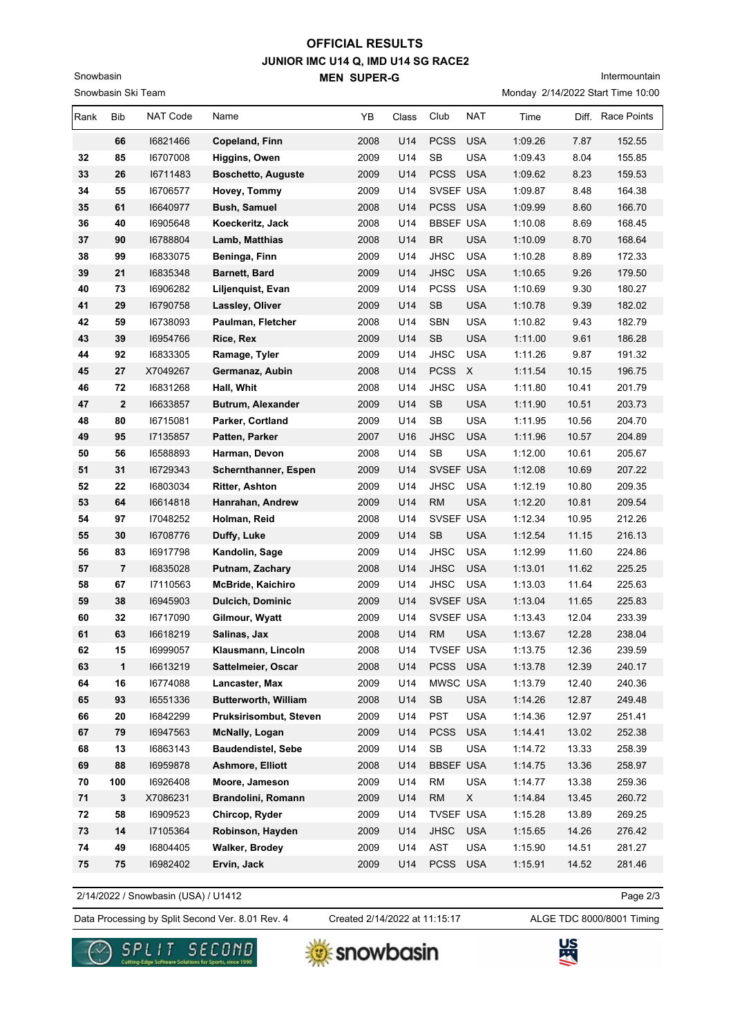## **JUNIOR IMC U14 Q, IMD U14 SG RACE2 MEN SUPER-G OFFICIAL RESULTS**

Snowbasin Ski Team

Snowbasin

# Intermountain

Monday 2/14/2022 Start Time 10:00

| Rank | Bib          | <b>NAT Code</b> | Name                        | YB   | Class | Club             | NAT                       | Time    |       | Diff. Race Points |
|------|--------------|-----------------|-----------------------------|------|-------|------------------|---------------------------|---------|-------|-------------------|
|      | 66           | 16821466        | Copeland, Finn              | 2008 | U14   | <b>PCSS</b>      | <b>USA</b>                | 1:09.26 | 7.87  | 152.55            |
| 32   | 85           | 16707008        | Higgins, Owen               | 2009 | U14   | SB               | <b>USA</b>                | 1:09.43 | 8.04  | 155.85            |
| 33   | 26           | 16711483        | <b>Boschetto, Auguste</b>   | 2009 | U14   | <b>PCSS</b>      | <b>USA</b>                | 1:09.62 | 8.23  | 159.53            |
| 34   | 55           | 16706577        | Hovey, Tommy                | 2009 | U14   | SVSEF USA        |                           | 1:09.87 | 8.48  | 164.38            |
| 35   | 61           | 16640977        | <b>Bush, Samuel</b>         | 2008 | U14   | <b>PCSS</b>      | <b>USA</b>                | 1:09.99 | 8.60  | 166.70            |
| 36   | 40           | 16905648        | Koeckeritz, Jack            | 2008 | U14   | <b>BBSEF USA</b> |                           | 1:10.08 | 8.69  | 168.45            |
| 37   | 90           | 16788804        | Lamb, Matthias              | 2008 | U14   | <b>BR</b>        | <b>USA</b>                | 1:10.09 | 8.70  | 168.64            |
| 38   | 99           | 16833075        | Beninga, Finn               | 2009 | U14   | <b>JHSC</b>      | <b>USA</b>                | 1:10.28 | 8.89  | 172.33            |
| 39   | 21           | 16835348        | <b>Barnett, Bard</b>        | 2009 | U14   | <b>JHSC</b>      | <b>USA</b>                | 1:10.65 | 9.26  | 179.50            |
| 40   | 73           | 16906282        | Liljenquist, Evan           | 2009 | U14   | <b>PCSS</b>      | <b>USA</b>                | 1:10.69 | 9.30  | 180.27            |
| 41   | 29           | 16790758        | Lassley, Oliver             | 2009 | U14   | SB               | <b>USA</b>                | 1:10.78 | 9.39  | 182.02            |
| 42   | 59           | 16738093        | Paulman, Fletcher           | 2008 | U14   | <b>SBN</b>       | <b>USA</b>                | 1:10.82 | 9.43  | 182.79            |
| 43   | 39           | 16954766        | Rice, Rex                   | 2009 | U14   | SB               | <b>USA</b>                | 1:11.00 | 9.61  | 186.28            |
| 44   | 92           | 16833305        | Ramage, Tyler               | 2009 | U14   | <b>JHSC</b>      | <b>USA</b>                | 1:11.26 | 9.87  | 191.32            |
| 45   | 27           | X7049267        | Germanaz, Aubin             | 2008 | U14   | <b>PCSS</b>      | $\boldsymbol{\mathsf{X}}$ | 1:11.54 | 10.15 | 196.75            |
| 46   | 72           | 16831268        | Hall, Whit                  | 2008 | U14   | <b>JHSC</b>      | <b>USA</b>                | 1:11.80 | 10.41 | 201.79            |
| 47   | $\mathbf{2}$ | 16633857        | Butrum, Alexander           | 2009 | U14   | <b>SB</b>        | <b>USA</b>                | 1:11.90 | 10.51 | 203.73            |
| 48   | 80           | 16715081        | Parker, Cortland            | 2009 | U14   | <b>SB</b>        | <b>USA</b>                | 1:11.95 | 10.56 | 204.70            |
| 49   | 95           | 17135857        | Patten, Parker              | 2007 | U16   | <b>JHSC</b>      | <b>USA</b>                | 1:11.96 | 10.57 | 204.89            |
| 50   | 56           | 16588893        | Harman, Devon               | 2008 | U14   | <b>SB</b>        | <b>USA</b>                | 1:12.00 | 10.61 | 205.67            |
| 51   | 31           | 16729343        | Schernthanner, Espen        | 2009 | U14   | SVSEF USA        |                           | 1:12.08 | 10.69 | 207.22            |
| 52   | 22           | 16803034        | <b>Ritter, Ashton</b>       | 2009 | U14   | <b>JHSC</b>      | <b>USA</b>                | 1:12.19 | 10.80 | 209.35            |
| 53   | 64           | 16614818        | Hanrahan, Andrew            | 2009 | U14   | <b>RM</b>        | <b>USA</b>                | 1:12.20 | 10.81 | 209.54            |
| 54   | 97           | 17048252        | Holman, Reid                | 2008 | U14   | SVSEF USA        |                           | 1:12.34 | 10.95 | 212.26            |
| 55   | 30           | 16708776        | Duffy, Luke                 | 2009 | U14   | SB               | <b>USA</b>                | 1:12.54 | 11.15 | 216.13            |
| 56   | 83           | 16917798        | Kandolin, Sage              | 2009 | U14   | <b>JHSC</b>      | <b>USA</b>                | 1:12.99 | 11.60 | 224.86            |
| 57   | 7            | 16835028        | Putnam, Zachary             | 2008 | U14   | <b>JHSC</b>      | <b>USA</b>                | 1:13.01 | 11.62 | 225.25            |
| 58   | 67           | 17110563        | <b>McBride, Kaichiro</b>    | 2009 | U14   | <b>JHSC</b>      | <b>USA</b>                | 1:13.03 | 11.64 | 225.63            |
| 59   | 38           | 16945903        | <b>Dulcich, Dominic</b>     | 2009 | U14   | SVSEF USA        |                           | 1:13.04 | 11.65 | 225.83            |
| 60   | 32           | 16717090        | Gilmour, Wyatt              | 2009 | U14   | SVSEF USA        |                           | 1:13.43 | 12.04 | 233.39            |
| 61   | 63           | 16618219        | Salinas, Jax                | 2008 | U14   | <b>RM</b>        | <b>USA</b>                | 1:13.67 | 12.28 | 238.04            |
| 62   | 15           | 16999057        | Klausmann, Lincoln          | 2008 | U14   | TVSEF USA        |                           | 1:13.75 | 12.36 | 239.59            |
| 63   | $\mathbf{1}$ | 16613219        | Sattelmeier, Oscar          | 2008 | U14   | PCSS USA         |                           | 1:13.78 | 12.39 | 240.17            |
| 64   | 16           | 16774088        | Lancaster, Max              | 2009 | U14   | MWSC USA         |                           | 1:13.79 | 12.40 | 240.36            |
| 65   | 93           | 16551336        | <b>Butterworth, William</b> | 2008 | U14   | SB               | <b>USA</b>                | 1:14.26 | 12.87 | 249.48            |
| 66   | 20           | 16842299        | Pruksirisombut, Steven      | 2009 | U14   | <b>PST</b>       | <b>USA</b>                | 1:14.36 | 12.97 | 251.41            |
| 67   | 79           | 16947563        | <b>McNally, Logan</b>       | 2009 | U14   | <b>PCSS</b>      | <b>USA</b>                | 1:14.41 | 13.02 | 252.38            |
| 68   | 13           | 16863143        | <b>Baudendistel, Sebe</b>   | 2009 | U14   | SB               | <b>USA</b>                | 1:14.72 | 13.33 | 258.39            |
| 69   | 88           | 16959878        | Ashmore, Elliott            | 2008 | U14   | <b>BBSEF USA</b> |                           | 1:14.75 | 13.36 | 258.97            |
| 70   | 100          | 16926408        | Moore, Jameson              | 2009 | U14   | <b>RM</b>        | USA                       | 1:14.77 | 13.38 | 259.36            |
| 71   | 3            | X7086231        | Brandolini, Romann          | 2009 | U14   | RM               | X                         | 1:14.84 | 13.45 | 260.72            |
| 72   | 58           | 16909523        | Chircop, Ryder              | 2009 | U14   | <b>TVSEF USA</b> |                           | 1:15.28 | 13.89 | 269.25            |
| 73   | 14           | 17105364        | Robinson, Hayden            | 2009 | U14   | <b>JHSC</b>      | <b>USA</b>                | 1:15.65 | 14.26 | 276.42            |
| 74   | 49           | 16804405        | Walker, Brodey              | 2009 | U14   | AST              | <b>USA</b>                | 1:15.90 | 14.51 | 281.27            |
| 75   | 75           | 16982402        | Ervin, Jack                 | 2009 | U14   | <b>PCSS</b>      | <b>USA</b>                | 1:15.91 | 14.52 | 281.46            |

2/14/2022 / Snowbasin (USA) / U1412

Page 2/3

Data Processing by Split Second Ver. 8.01 Rev. 4 Created 2/14/2022 at 11:15:17 ALGE TDC 8000/8001 Timing

Created 2/14/2022 at 11:15:17